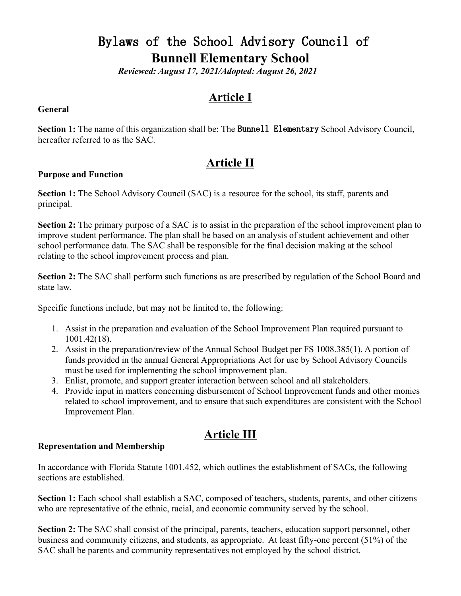# Bylaws of the School Advisory Council of **Bunnell Elementary School**

*Reviewed: August 17, 2021/Adopted: August 26, 2021* 

## **Article I**

#### **General**

**Section 1:** The name of this organization shall be: The **Bunnell Elementary** School Advisory Council, hereafter referred to as the SAC.

## **Article II**

#### **Purpose and Function**

**Section 1:** The School Advisory Council (SAC) is a resource for the school, its staff, parents and principal.

**Section 2:** The primary purpose of a SAC is to assist in the preparation of the school improvement plan to improve student performance. The plan shall be based on an analysis of student achievement and other school performance data. The SAC shall be responsible for the final decision making at the school relating to the school improvement process and plan.

**Section 2:** The SAC shall perform such functions as are prescribed by regulation of the School Board and state law.

Specific functions include, but may not be limited to, the following:

- 1. Assist in the preparation and evaluation of the School Improvement Plan required pursuant to 1001.42(18).
- 2. Assist in the preparation/review of the Annual School Budget per FS 1008.385(1). A portion of funds provided in the annual General Appropriations Act for use by School Advisory Councils must be used for implementing the school improvement plan.
- 3. Enlist, promote, and support greater interaction between school and all stakeholders.
- 4. Provide input in matters concerning disbursement of School Improvement funds and other monies related to school improvement, and to ensure that such expenditures are consistent with the School Improvement Plan.

## **Article III**

#### **Representation and Membership**

In accordance with Florida Statute 1001.452, which outlines the establishment of SACs, the following sections are established.

**Section 1:** Each school shall establish a SAC, composed of teachers, students, parents, and other citizens who are representative of the ethnic, racial, and economic community served by the school.

**Section 2:** The SAC shall consist of the principal, parents, teachers, education support personnel, other business and community citizens, and students, as appropriate. At least fifty-one percent (51%) of the SAC shall be parents and community representatives not employed by the school district.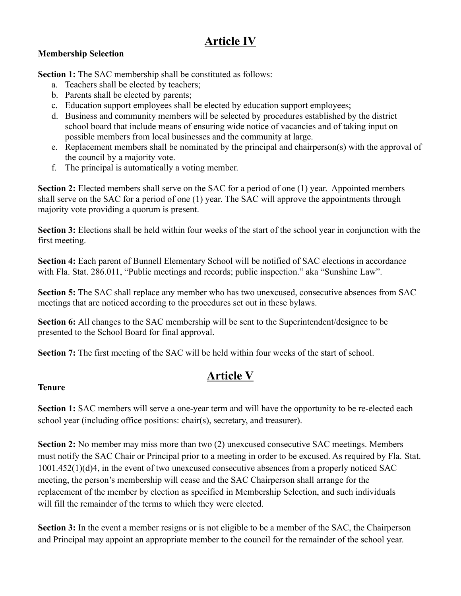# **Article IV**

### **Membership Selection**

**Section 1:** The SAC membership shall be constituted as follows:

- a. Teachers shall be elected by teachers;
- b. Parents shall be elected by parents;
- c. Education support employees shall be elected by education support employees;
- d. Business and community members will be selected by procedures established by the district school board that include means of ensuring wide notice of vacancies and of taking input on possible members from local businesses and the community at large.
- e. Replacement members shall be nominated by the principal and chairperson(s) with the approval of the council by a majority vote.
- f. The principal is automatically a voting member.

**Section 2:** Elected members shall serve on the SAC for a period of one (1) year. Appointed members shall serve on the SAC for a period of one (1) year. The SAC will approve the appointments through majority vote providing a quorum is present.

**Section 3:** Elections shall be held within four weeks of the start of the school year in conjunction with the first meeting.

**Section 4:** Each parent of Bunnell Elementary School will be notified of SAC elections in accordance with Fla. Stat. 286.011, "Public meetings and records; public inspection." aka "Sunshine Law".

**Section 5:** The SAC shall replace any member who has two unexcused, consecutive absences from SAC meetings that are noticed according to the procedures set out in these bylaws.

**Section 6:** All changes to the SAC membership will be sent to the Superintendent/designee to be presented to the School Board for final approval.

**Section 7:** The first meeting of the SAC will be held within four weeks of the start of school.

# **Article V**

### **Tenure**

**Section 1:** SAC members will serve a one-year term and will have the opportunity to be re-elected each school year (including office positions: chair(s), secretary, and treasurer).

**Section 2:** No member may miss more than two (2) unexcused consecutive SAC meetings. Members must notify the SAC Chair or Principal prior to a meeting in order to be excused. As required by Fla. Stat. 1001.452(1)(d)4, in the event of two unexcused consecutive absences from a properly noticed SAC meeting, the person's membership will cease and the SAC Chairperson shall arrange for the replacement of the member by election as specified in Membership Selection, and such individuals will fill the remainder of the terms to which they were elected.

**Section 3:** In the event a member resigns or is not eligible to be a member of the SAC, the Chairperson and Principal may appoint an appropriate member to the council for the remainder of the school year.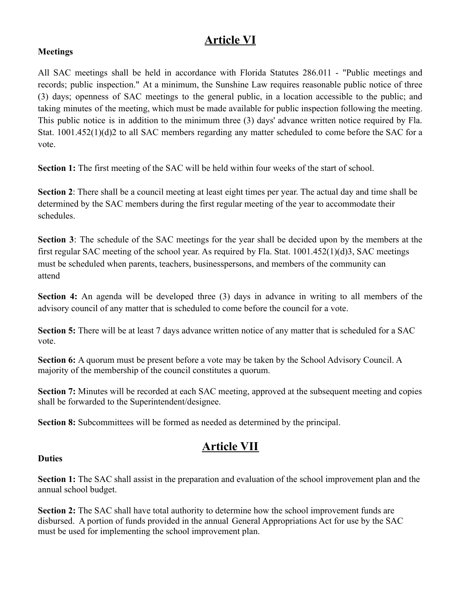## **Article VI**

#### **Meetings**

All SAC meetings shall be held in accordance with Florida Statutes 286.011 - "Public meetings and records; public inspection." At a minimum, the Sunshine Law requires reasonable public notice of three (3) days; openness of SAC meetings to the general public, in a location accessible to the public; and taking minutes of the meeting, which must be made available for public inspection following the meeting. This public notice is in addition to the minimum three (3) days' advance written notice required by Fla. Stat. 1001.452(1)(d)2 to all SAC members regarding any matter scheduled to come before the SAC for a vote.

**Section 1:** The first meeting of the SAC will be held within four weeks of the start of school.

**Section 2**: There shall be a council meeting at least eight times per year. The actual day and time shall be determined by the SAC members during the first regular meeting of the year to accommodate their schedules.

**Section 3**: The schedule of the SAC meetings for the year shall be decided upon by the members at the first regular SAC meeting of the school year. As required by Fla. Stat. 1001.452(1)(d)3, SAC meetings must be scheduled when parents, teachers, businesspersons, and members of the community can attend

**Section 4:** An agenda will be developed three (3) days in advance in writing to all members of the advisory council of any matter that is scheduled to come before the council for a vote.

**Section 5:** There will be at least 7 days advance written notice of any matter that is scheduled for a SAC vote.

**Section 6:** A quorum must be present before a vote may be taken by the School Advisory Council. A majority of the membership of the council constitutes a quorum.

**Section 7:** Minutes will be recorded at each SAC meeting, approved at the subsequent meeting and copies shall be forwarded to the Superintendent/designee.

**Section 8:** Subcommittees will be formed as needed as determined by the principal.

## **Article VII**

### **Duties**

**Section 1:** The SAC shall assist in the preparation and evaluation of the school improvement plan and the annual school budget.

**Section 2:** The SAC shall have total authority to determine how the school improvement funds are disbursed. A portion of funds provided in the annual General Appropriations Act for use by the SAC must be used for implementing the school improvement plan.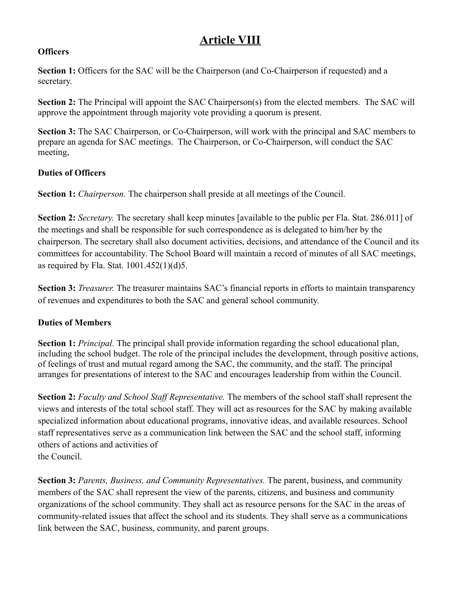# **Article VIII**

#### **Officers**

**Section 1:** Officers for the SAC will be the Chairperson (and Co-Chairperson if requested) and a secretary.

**Section 2:** The Principal will appoint the SAC Chairperson(s) from the elected members. The SAC will approve the appointment through majority vote providing a quorum is present.

**Section 3:** The SAC Chairperson, or Co-Chairperson, will work with the principal and SAC members to prepare an agenda for SAC meetings. The Chairperson, or Co-Chairperson, will conduct the SAC meeting,

### **Duties of Officers**

**Section 1:** *Chairperson.* The chairperson shall preside at all meetings of the Council.

**Section 2:** *Secretary.* The secretary shall keep minutes [available to the public per Fla. Stat. 286.011] of the meetings and shall be responsible for such correspondence as is delegated to him/her by the chairperson. The secretary shall also document activities, decisions, and attendance of the Council and its committees for accountability. The School Board will maintain a record of minutes of all SAC meetings, as required by Fla. Stat.  $1001.452(1)(d)5$ .

**Section 3:** *Treasurer.* The treasurer maintains SAC's financial reports in efforts to maintain transparency of revenues and expenditures to both the SAC and general school community.

### **Duties of Members**

**Section 1:** *Principal.* The principal shall provide information regarding the school educational plan, including the school budget. The role of the principal includes the development, through positive actions, of feelings of trust and mutual regard among the SAC, the community, and the staff. The principal arranges for presentations of interest to the SAC and encourages leadership from within the Council.

**Section 2:** *Faculty and School Staff Representative.* The members of the school staff shall represent the views and interests of the total school staff. They will act as resources for the SAC by making available specialized information about educational programs, innovative ideas, and available resources. School staff representatives serve as a communication link between the SAC and the school staff, informing others of actions and activities of the Council.

**Section 3:** *Parents, Business, and Community Representatives.* The parent, business, and community members of the SAC shall represent the view of the parents, citizens, and business and community organizations of the school community. They shall act as resource persons for the SAC in the areas of community-related issues that affect the school and its students. They shall serve as a communications link between the SAC, business, community, and parent groups.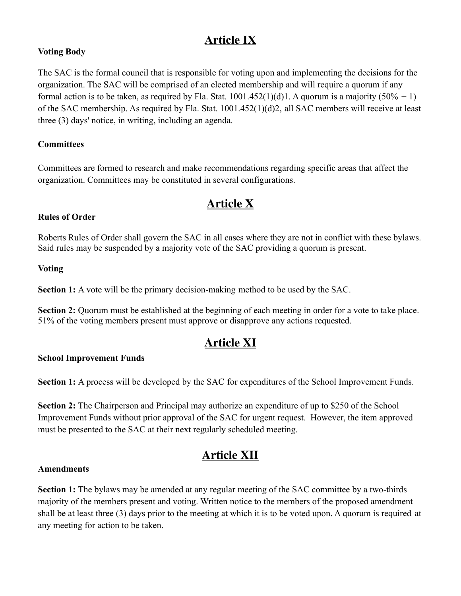## **Article IX**

### **Voting Body**

The SAC is the formal council that is responsible for voting upon and implementing the decisions for the organization. The SAC will be comprised of an elected membership and will require a quorum if any formal action is to be taken, as required by Fla. Stat.  $1001.452(1)(d)1$ . A quorum is a majority  $(50\% + 1)$ of the SAC membership. As required by Fla. Stat. 1001.452(1)(d)2, all SAC members will receive at least three (3) days' notice, in writing, including an agenda.

#### **Committees**

Committees are formed to research and make recommendations regarding specific areas that affect the organization. Committees may be constituted in several configurations.

## **Article X**

### **Rules of Order**

Roberts Rules of Order shall govern the SAC in all cases where they are not in conflict with these bylaws. Said rules may be suspended by a majority vote of the SAC providing a quorum is present.

#### **Voting**

**Section 1:** A vote will be the primary decision-making method to be used by the SAC.

**Section 2:** Quorum must be established at the beginning of each meeting in order for a vote to take place. 51% of the voting members present must approve or disapprove any actions requested.

## **Article XI**

#### **School Improvement Funds**

**Section 1:** A process will be developed by the SAC for expenditures of the School Improvement Funds.

**Section 2:** The Chairperson and Principal may authorize an expenditure of up to \$250 of the School Improvement Funds without prior approval of the SAC for urgent request. However, the item approved must be presented to the SAC at their next regularly scheduled meeting.

## **Article XII**

#### **Amendments**

**Section 1:** The bylaws may be amended at any regular meeting of the SAC committee by a two-thirds majority of the members present and voting. Written notice to the members of the proposed amendment shall be at least three (3) days prior to the meeting at which it is to be voted upon. A quorum is required at any meeting for action to be taken.